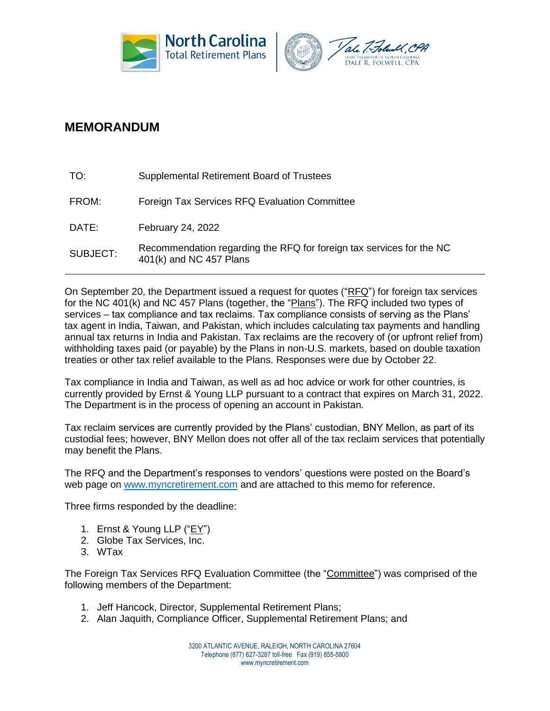



## **MEMORANDUM**

| TO:      | Supplemental Retirement Board of Trustees                                                       |
|----------|-------------------------------------------------------------------------------------------------|
| FROM:    | Foreign Tax Services RFQ Evaluation Committee                                                   |
| DATE:    | February 24, 2022                                                                               |
| SUBJECT: | Recommendation regarding the RFQ for foreign tax services for the NC<br>401(k) and NC 457 Plans |

On September 20, the Department issued a request for quotes (" $RFG$ ") for foreign tax services for the NC 401(k) and NC 457 Plans (together, the "Plans"). The RFQ included two types of services – tax compliance and tax reclaims. Tax compliance consists of serving as the Plans' tax agent in India, Taiwan, and Pakistan, which includes calculating tax payments and handling annual tax returns in India and Pakistan. Tax reclaims are the recovery of (or upfront relief from) withholding taxes paid (or payable) by the Plans in non-U.S. markets, based on double taxation treaties or other tax relief available to the Plans. Responses were due by October 22.

Tax compliance in India and Taiwan, as well as ad hoc advice or work for other countries, is currently provided by Ernst & Young LLP pursuant to a contract that expires on March 31, 2022. The Department is in the process of opening an account in Pakistan.

Tax reclaim services are currently provided by the Plans' custodian, BNY Mellon, as part of its custodial fees; however, BNY Mellon does not offer all of the tax reclaim services that potentially may benefit the Plans.

The RFQ and the Department's responses to vendors' questions were posted on the Board's web page on [www.myncretirement.com](http://www.myncretirement.com/) and are attached to this memo for reference.

Three firms responded by the deadline:

- 1. Ernst & Young LLP ("EY")
- 2. Globe Tax Services, Inc.
- 3. WTax

The Foreign Tax Services RFQ Evaluation Committee (the "Committee") was comprised of the following members of the Department:

- 1. Jeff Hancock, Director, Supplemental Retirement Plans;
- 2. Alan Jaquith, Compliance Officer, Supplemental Retirement Plans; and